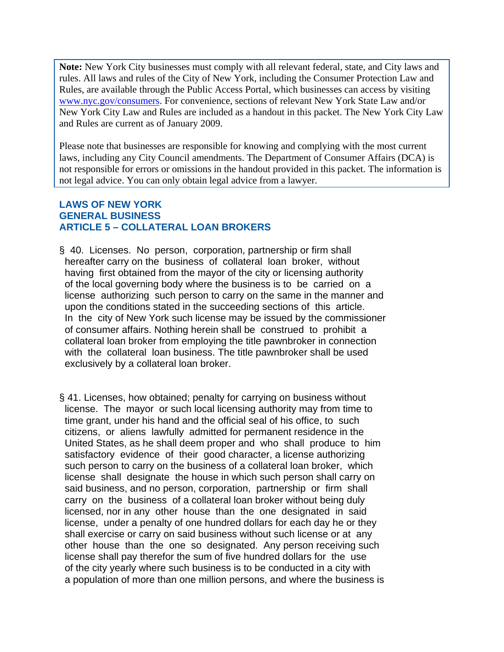**Note:** New York City businesses must comply with all relevant federal, state, and City laws and rules. All laws and rules of the City of New York, including the Consumer Protection Law and Rules, are available through the Public Access Portal, which businesses can access by visiting www.nyc.gov/consumers. For convenience, sections of relevant New York State Law and/or New York City Law and Rules are included as a handout in this packet. The New York City Law and Rules are current as of January 2009.

Please note that businesses are responsible for knowing and complying with the most current laws, including any City Council amendments. The Department of Consumer Affairs (DCA) is not responsible for errors or omissions in the handout provided in this packet. The information is not legal advice. You can only obtain legal advice from a lawyer.

# **LAWS OF NEW YORK GENERAL BUSINESS ARTICLE 5 – COLLATERAL LOAN BROKERS**

- § 40. Licenses. No person, corporation, partnership or firm shall hereafter carry on the business of collateral loan broker, without having first obtained from the mayor of the city or licensing authority of the local governing body where the business is to be carried on a license authorizing such person to carry on the same in the manner and upon the conditions stated in the succeeding sections of this article. In the city of New York such license may be issued by the commissioner of consumer affairs. Nothing herein shall be construed to prohibit a collateral loan broker from employing the title pawnbroker in connection with the collateral loan business. The title pawnbroker shall be used exclusively by a collateral loan broker.
- § 41. Licenses, how obtained; penalty for carrying on business without license. The mayor or such local licensing authority may from time to time grant, under his hand and the official seal of his office, to such citizens, or aliens lawfully admitted for permanent residence in the United States, as he shall deem proper and who shall produce to him satisfactory evidence of their good character, a license authorizing such person to carry on the business of a collateral loan broker, which license shall designate the house in which such person shall carry on said business, and no person, corporation, partnership or firm shall carry on the business of a collateral loan broker without being duly licensed, nor in any other house than the one designated in said license, under a penalty of one hundred dollars for each day he or they shall exercise or carry on said business without such license or at any other house than the one so designated. Any person receiving such license shall pay therefor the sum of five hundred dollars for the use of the city yearly where such business is to be conducted in a city with a population of more than one million persons, and where the business is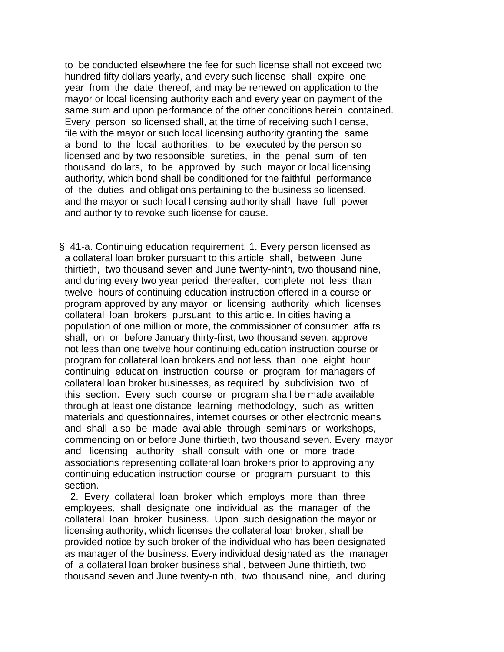to be conducted elsewhere the fee for such license shall not exceed two hundred fifty dollars yearly, and every such license shall expire one year from the date thereof, and may be renewed on application to the mayor or local licensing authority each and every year on payment of the same sum and upon performance of the other conditions herein contained. Every person so licensed shall, at the time of receiving such license, file with the mayor or such local licensing authority granting the same a bond to the local authorities, to be executed by the person so licensed and by two responsible sureties, in the penal sum of ten thousand dollars, to be approved by such mayor or local licensing authority, which bond shall be conditioned for the faithful performance of the duties and obligations pertaining to the business so licensed, and the mayor or such local licensing authority shall have full power and authority to revoke such license for cause.

§ 41-a. Continuing education requirement. 1. Every person licensed as a collateral loan broker pursuant to this article shall, between June thirtieth, two thousand seven and June twenty-ninth, two thousand nine, and during every two year period thereafter, complete not less than twelve hours of continuing education instruction offered in a course or program approved by any mayor or licensing authority which licenses collateral loan brokers pursuant to this article. In cities having a population of one million or more, the commissioner of consumer affairs shall, on or before January thirty-first, two thousand seven, approve not less than one twelve hour continuing education instruction course or program for collateral loan brokers and not less than one eight hour continuing education instruction course or program for managers of collateral loan broker businesses, as required by subdivision two of this section. Every such course or program shall be made available through at least one distance learning methodology, such as written materials and questionnaires, internet courses or other electronic means and shall also be made available through seminars or workshops, commencing on or before June thirtieth, two thousand seven. Every mayor and licensing authority shall consult with one or more trade associations representing collateral loan brokers prior to approving any continuing education instruction course or program pursuant to this section.

 2. Every collateral loan broker which employs more than three employees, shall designate one individual as the manager of the collateral loan broker business. Upon such designation the mayor or licensing authority, which licenses the collateral loan broker, shall be provided notice by such broker of the individual who has been designated as manager of the business. Every individual designated as the manager of a collateral loan broker business shall, between June thirtieth, two thousand seven and June twenty-ninth, two thousand nine, and during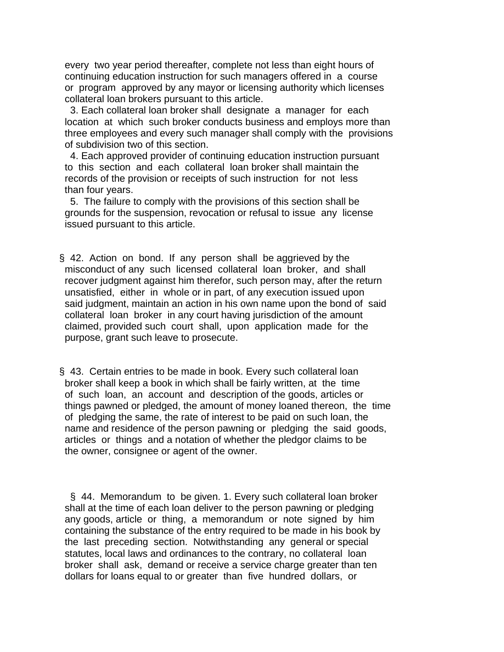every two year period thereafter, complete not less than eight hours of continuing education instruction for such managers offered in a course or program approved by any mayor or licensing authority which licenses collateral loan brokers pursuant to this article.

 3. Each collateral loan broker shall designate a manager for each location at which such broker conducts business and employs more than three employees and every such manager shall comply with the provisions of subdivision two of this section.

 4. Each approved provider of continuing education instruction pursuant to this section and each collateral loan broker shall maintain the records of the provision or receipts of such instruction for not less than four years.

 5. The failure to comply with the provisions of this section shall be grounds for the suspension, revocation or refusal to issue any license issued pursuant to this article.

§ 42. Action on bond. If any person shall be aggrieved by the misconduct of any such licensed collateral loan broker, and shall recover judgment against him therefor, such person may, after the return unsatisfied, either in whole or in part, of any execution issued upon said judgment, maintain an action in his own name upon the bond of said collateral loan broker in any court having jurisdiction of the amount claimed, provided such court shall, upon application made for the purpose, grant such leave to prosecute.

§ 43. Certain entries to be made in book. Every such collateral loan broker shall keep a book in which shall be fairly written, at the time of such loan, an account and description of the goods, articles or things pawned or pledged, the amount of money loaned thereon, the time of pledging the same, the rate of interest to be paid on such loan, the name and residence of the person pawning or pledging the said goods, articles or things and a notation of whether the pledgor claims to be the owner, consignee or agent of the owner.

 § 44. Memorandum to be given. 1. Every such collateral loan broker shall at the time of each loan deliver to the person pawning or pledging any goods, article or thing, a memorandum or note signed by him containing the substance of the entry required to be made in his book by the last preceding section. Notwithstanding any general or special statutes, local laws and ordinances to the contrary, no collateral loan broker shall ask, demand or receive a service charge greater than ten dollars for loans equal to or greater than five hundred dollars, or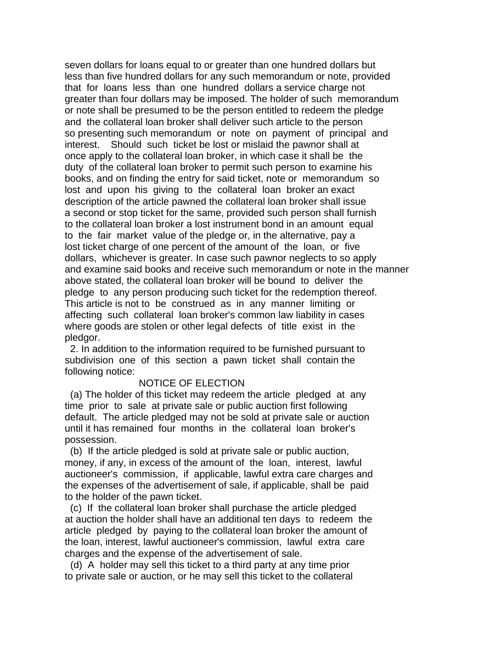seven dollars for loans equal to or greater than one hundred dollars but less than five hundred dollars for any such memorandum or note, provided that for loans less than one hundred dollars a service charge not greater than four dollars may be imposed. The holder of such memorandum or note shall be presumed to be the person entitled to redeem the pledge and the collateral loan broker shall deliver such article to the person so presenting such memorandum or note on payment of principal and interest. Should such ticket be lost or mislaid the pawnor shall at once apply to the collateral loan broker, in which case it shall be the duty of the collateral loan broker to permit such person to examine his books, and on finding the entry for said ticket, note or memorandum so lost and upon his giving to the collateral loan broker an exact description of the article pawned the collateral loan broker shall issue a second or stop ticket for the same, provided such person shall furnish to the collateral loan broker a lost instrument bond in an amount equal to the fair market value of the pledge or, in the alternative, pay a lost ticket charge of one percent of the amount of the loan, or five dollars, whichever is greater. In case such pawnor neglects to so apply and examine said books and receive such memorandum or note in the manner above stated, the collateral loan broker will be bound to deliver the pledge to any person producing such ticket for the redemption thereof. This article is not to be construed as in any manner limiting or affecting such collateral loan broker's common law liability in cases where goods are stolen or other legal defects of title exist in the pledgor.

 2. In addition to the information required to be furnished pursuant to subdivision one of this section a pawn ticket shall contain the following notice:

### NOTICE OF ELECTION

 (a) The holder of this ticket may redeem the article pledged at any time prior to sale at private sale or public auction first following default. The article pledged may not be sold at private sale or auction until it has remained four months in the collateral loan broker's possession.

 (b) If the article pledged is sold at private sale or public auction, money, if any, in excess of the amount of the loan, interest, lawful auctioneer's commission, if applicable, lawful extra care charges and the expenses of the advertisement of sale, if applicable, shall be paid to the holder of the pawn ticket.

 (c) If the collateral loan broker shall purchase the article pledged at auction the holder shall have an additional ten days to redeem the article pledged by paying to the collateral loan broker the amount of the loan, interest, lawful auctioneer's commission, lawful extra care charges and the expense of the advertisement of sale.

 (d) A holder may sell this ticket to a third party at any time prior to private sale or auction, or he may sell this ticket to the collateral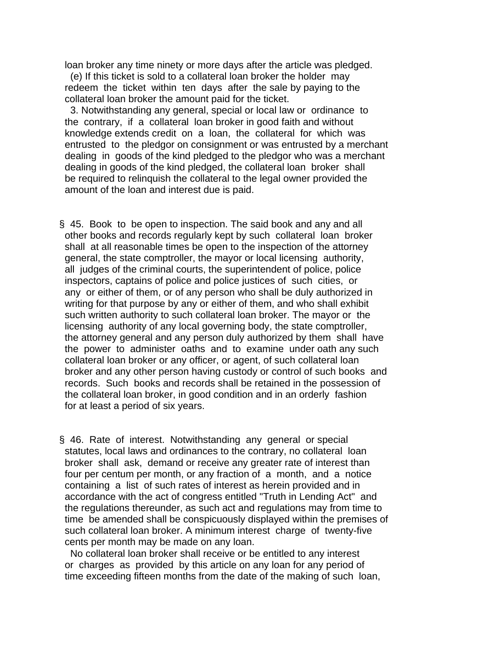loan broker any time ninety or more days after the article was pledged.

 (e) If this ticket is sold to a collateral loan broker the holder may redeem the ticket within ten days after the sale by paying to the collateral loan broker the amount paid for the ticket.

 3. Notwithstanding any general, special or local law or ordinance to the contrary, if a collateral loan broker in good faith and without knowledge extends credit on a loan, the collateral for which was entrusted to the pledgor on consignment or was entrusted by a merchant dealing in goods of the kind pledged to the pledgor who was a merchant dealing in goods of the kind pledged, the collateral loan broker shall be required to relinquish the collateral to the legal owner provided the amount of the loan and interest due is paid.

- § 45. Book to be open to inspection. The said book and any and all other books and records regularly kept by such collateral loan broker shall at all reasonable times be open to the inspection of the attorney general, the state comptroller, the mayor or local licensing authority, all judges of the criminal courts, the superintendent of police, police inspectors, captains of police and police justices of such cities, or any or either of them, or of any person who shall be duly authorized in writing for that purpose by any or either of them, and who shall exhibit such written authority to such collateral loan broker. The mayor or the licensing authority of any local governing body, the state comptroller, the attorney general and any person duly authorized by them shall have the power to administer oaths and to examine under oath any such collateral loan broker or any officer, or agent, of such collateral loan broker and any other person having custody or control of such books and records. Such books and records shall be retained in the possession of the collateral loan broker, in good condition and in an orderly fashion for at least a period of six years.
- § 46. Rate of interest. Notwithstanding any general or special statutes, local laws and ordinances to the contrary, no collateral loan broker shall ask, demand or receive any greater rate of interest than four per centum per month, or any fraction of a month, and a notice containing a list of such rates of interest as herein provided and in accordance with the act of congress entitled "Truth in Lending Act" and the regulations thereunder, as such act and regulations may from time to time be amended shall be conspicuously displayed within the premises of such collateral loan broker. A minimum interest charge of twenty-five cents per month may be made on any loan.

 No collateral loan broker shall receive or be entitled to any interest or charges as provided by this article on any loan for any period of time exceeding fifteen months from the date of the making of such loan,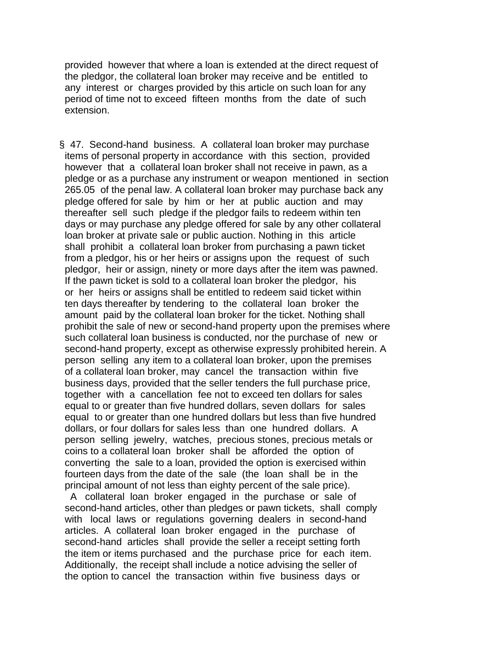provided however that where a loan is extended at the direct request of the pledgor, the collateral loan broker may receive and be entitled to any interest or charges provided by this article on such loan for any period of time not to exceed fifteen months from the date of such extension.

§ 47. Second-hand business. A collateral loan broker may purchase items of personal property in accordance with this section, provided however that a collateral loan broker shall not receive in pawn, as a pledge or as a purchase any instrument or weapon mentioned in section 265.05 of the penal law. A collateral loan broker may purchase back any pledge offered for sale by him or her at public auction and may thereafter sell such pledge if the pledgor fails to redeem within ten days or may purchase any pledge offered for sale by any other collateral loan broker at private sale or public auction. Nothing in this article shall prohibit a collateral loan broker from purchasing a pawn ticket from a pledgor, his or her heirs or assigns upon the request of such pledgor, heir or assign, ninety or more days after the item was pawned. If the pawn ticket is sold to a collateral loan broker the pledgor, his or her heirs or assigns shall be entitled to redeem said ticket within ten days thereafter by tendering to the collateral loan broker the amount paid by the collateral loan broker for the ticket. Nothing shall prohibit the sale of new or second-hand property upon the premises where such collateral loan business is conducted, nor the purchase of new or second-hand property, except as otherwise expressly prohibited herein. A person selling any item to a collateral loan broker, upon the premises of a collateral loan broker, may cancel the transaction within five business days, provided that the seller tenders the full purchase price, together with a cancellation fee not to exceed ten dollars for sales equal to or greater than five hundred dollars, seven dollars for sales equal to or greater than one hundred dollars but less than five hundred dollars, or four dollars for sales less than one hundred dollars. A person selling jewelry, watches, precious stones, precious metals or coins to a collateral loan broker shall be afforded the option of converting the sale to a loan, provided the option is exercised within fourteen days from the date of the sale (the loan shall be in the principal amount of not less than eighty percent of the sale price).

 A collateral loan broker engaged in the purchase or sale of second-hand articles, other than pledges or pawn tickets, shall comply with local laws or regulations governing dealers in second-hand articles. A collateral loan broker engaged in the purchase of second-hand articles shall provide the seller a receipt setting forth the item or items purchased and the purchase price for each item. Additionally, the receipt shall include a notice advising the seller of the option to cancel the transaction within five business days or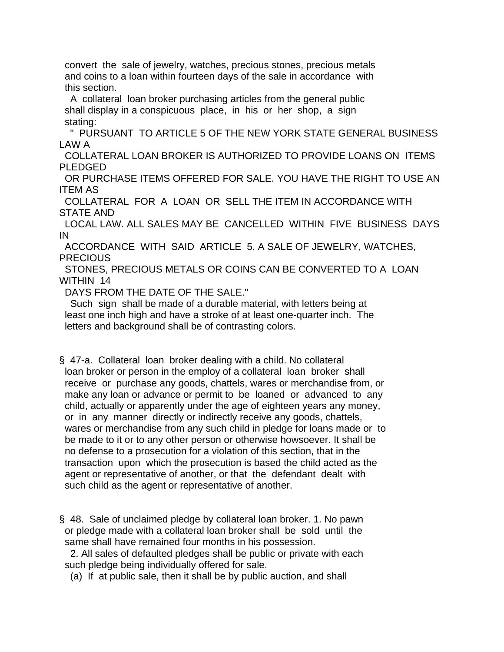convert the sale of jewelry, watches, precious stones, precious metals and coins to a loan within fourteen days of the sale in accordance with this section.

 A collateral loan broker purchasing articles from the general public shall display in a conspicuous place, in his or her shop, a sign stating:

 " PURSUANT TO ARTICLE 5 OF THE NEW YORK STATE GENERAL BUSINESS LAW A

 COLLATERAL LOAN BROKER IS AUTHORIZED TO PROVIDE LOANS ON ITEMS PI FDGFD

 OR PURCHASE ITEMS OFFERED FOR SALE. YOU HAVE THE RIGHT TO USE AN ITEM AS

 COLLATERAL FOR A LOAN OR SELL THE ITEM IN ACCORDANCE WITH STATE AND

 LOCAL LAW. ALL SALES MAY BE CANCELLED WITHIN FIVE BUSINESS DAYS IN

 ACCORDANCE WITH SAID ARTICLE 5. A SALE OF JEWELRY, WATCHES, **PRECIOUS** 

 STONES, PRECIOUS METALS OR COINS CAN BE CONVERTED TO A LOAN WITHIN 14

DAYS FROM THE DATE OF THE SALE."

 Such sign shall be made of a durable material, with letters being at least one inch high and have a stroke of at least one-quarter inch. The letters and background shall be of contrasting colors.

§ 47-a. Collateral loan broker dealing with a child. No collateral loan broker or person in the employ of a collateral loan broker shall receive or purchase any goods, chattels, wares or merchandise from, or make any loan or advance or permit to be loaned or advanced to any child, actually or apparently under the age of eighteen years any money, or in any manner directly or indirectly receive any goods, chattels, wares or merchandise from any such child in pledge for loans made or to be made to it or to any other person or otherwise howsoever. It shall be no defense to a prosecution for a violation of this section, that in the transaction upon which the prosecution is based the child acted as the agent or representative of another, or that the defendant dealt with such child as the agent or representative of another.

§ 48. Sale of unclaimed pledge by collateral loan broker. 1. No pawn or pledge made with a collateral loan broker shall be sold until the same shall have remained four months in his possession.

 2. All sales of defaulted pledges shall be public or private with each such pledge being individually offered for sale.

(a) If at public sale, then it shall be by public auction, and shall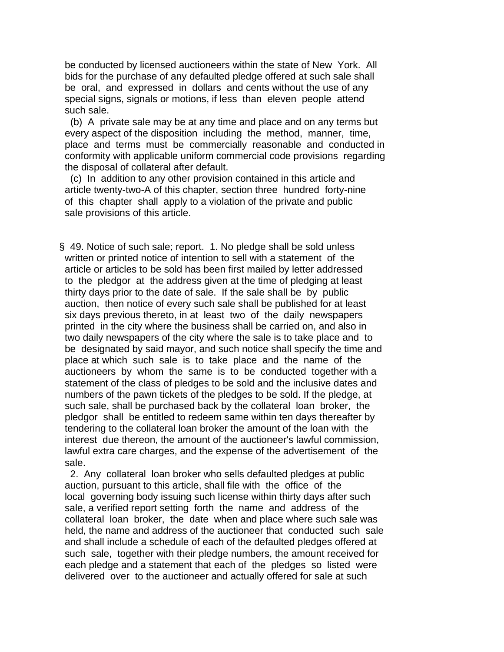be conducted by licensed auctioneers within the state of New York. All bids for the purchase of any defaulted pledge offered at such sale shall be oral, and expressed in dollars and cents without the use of any special signs, signals or motions, if less than eleven people attend such sale.

 (b) A private sale may be at any time and place and on any terms but every aspect of the disposition including the method, manner, time, place and terms must be commercially reasonable and conducted in conformity with applicable uniform commercial code provisions regarding the disposal of collateral after default.

 (c) In addition to any other provision contained in this article and article twenty-two-A of this chapter, section three hundred forty-nine of this chapter shall apply to a violation of the private and public sale provisions of this article.

§ 49. Notice of such sale; report. 1. No pledge shall be sold unless written or printed notice of intention to sell with a statement of the article or articles to be sold has been first mailed by letter addressed to the pledgor at the address given at the time of pledging at least thirty days prior to the date of sale. If the sale shall be by public auction, then notice of every such sale shall be published for at least six days previous thereto, in at least two of the daily newspapers printed in the city where the business shall be carried on, and also in two daily newspapers of the city where the sale is to take place and to be designated by said mayor, and such notice shall specify the time and place at which such sale is to take place and the name of the auctioneers by whom the same is to be conducted together with a statement of the class of pledges to be sold and the inclusive dates and numbers of the pawn tickets of the pledges to be sold. If the pledge, at such sale, shall be purchased back by the collateral loan broker, the pledgor shall be entitled to redeem same within ten days thereafter by tendering to the collateral loan broker the amount of the loan with the interest due thereon, the amount of the auctioneer's lawful commission, lawful extra care charges, and the expense of the advertisement of the sale.

 2. Any collateral loan broker who sells defaulted pledges at public auction, pursuant to this article, shall file with the office of the local governing body issuing such license within thirty days after such sale, a verified report setting forth the name and address of the collateral loan broker, the date when and place where such sale was held, the name and address of the auctioneer that conducted such sale and shall include a schedule of each of the defaulted pledges offered at such sale, together with their pledge numbers, the amount received for each pledge and a statement that each of the pledges so listed were delivered over to the auctioneer and actually offered for sale at such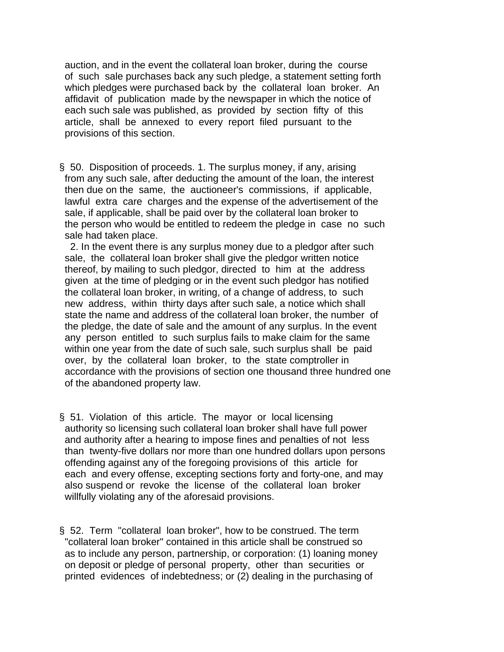auction, and in the event the collateral loan broker, during the course of such sale purchases back any such pledge, a statement setting forth which pledges were purchased back by the collateral loan broker. An affidavit of publication made by the newspaper in which the notice of each such sale was published, as provided by section fifty of this article, shall be annexed to every report filed pursuant to the provisions of this section.

§ 50. Disposition of proceeds. 1. The surplus money, if any, arising from any such sale, after deducting the amount of the loan, the interest then due on the same, the auctioneer's commissions, if applicable, lawful extra care charges and the expense of the advertisement of the sale, if applicable, shall be paid over by the collateral loan broker to the person who would be entitled to redeem the pledge in case no such sale had taken place.

 2. In the event there is any surplus money due to a pledgor after such sale, the collateral loan broker shall give the pledgor written notice thereof, by mailing to such pledgor, directed to him at the address given at the time of pledging or in the event such pledgor has notified the collateral loan broker, in writing, of a change of address, to such new address, within thirty days after such sale, a notice which shall state the name and address of the collateral loan broker, the number of the pledge, the date of sale and the amount of any surplus. In the event any person entitled to such surplus fails to make claim for the same within one year from the date of such sale, such surplus shall be paid over, by the collateral loan broker, to the state comptroller in accordance with the provisions of section one thousand three hundred one of the abandoned property law.

- § 51. Violation of this article. The mayor or local licensing authority so licensing such collateral loan broker shall have full power and authority after a hearing to impose fines and penalties of not less than twenty-five dollars nor more than one hundred dollars upon persons offending against any of the foregoing provisions of this article for each and every offense, excepting sections forty and forty-one, and may also suspend or revoke the license of the collateral loan broker willfully violating any of the aforesaid provisions.
- § 52. Term "collateral loan broker", how to be construed. The term "collateral loan broker" contained in this article shall be construed so as to include any person, partnership, or corporation: (1) loaning money on deposit or pledge of personal property, other than securities or printed evidences of indebtedness; or (2) dealing in the purchasing of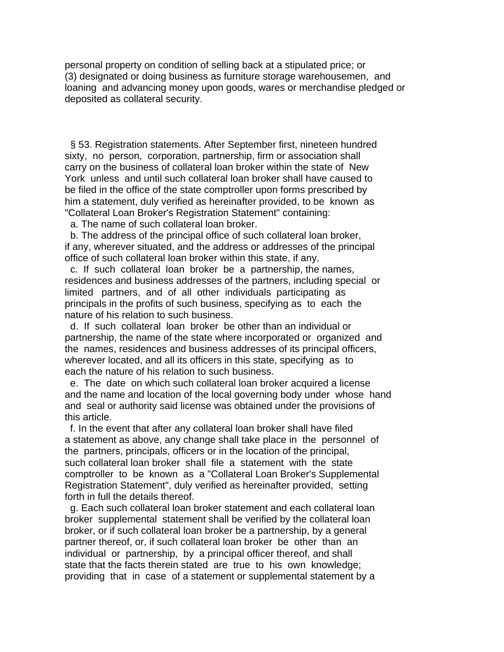personal property on condition of selling back at a stipulated price; or (3) designated or doing business as furniture storage warehousemen, and loaning and advancing money upon goods, wares or merchandise pledged or deposited as collateral security.

 § 53. Registration statements. After September first, nineteen hundred sixty, no person, corporation, partnership, firm or association shall carry on the business of collateral loan broker within the state of New York unless and until such collateral loan broker shall have caused to be filed in the office of the state comptroller upon forms prescribed by him a statement, duly verified as hereinafter provided, to be known as "Collateral Loan Broker's Registration Statement" containing:

a. The name of such collateral loan broker.

 b. The address of the principal office of such collateral loan broker, if any, wherever situated, and the address or addresses of the principal office of such collateral loan broker within this state, if any.

 c. If such collateral loan broker be a partnership, the names, residences and business addresses of the partners, including special or limited partners, and of all other individuals participating as principals in the profits of such business, specifying as to each the nature of his relation to such business.

 d. If such collateral loan broker be other than an individual or partnership, the name of the state where incorporated or organized and the names, residences and business addresses of its principal officers, wherever located, and all its officers in this state, specifying as to each the nature of his relation to such business.

 e. The date on which such collateral loan broker acquired a license and the name and location of the local governing body under whose hand and seal or authority said license was obtained under the provisions of this article.

 f. In the event that after any collateral loan broker shall have filed a statement as above, any change shall take place in the personnel of the partners, principals, officers or in the location of the principal, such collateral loan broker shall file a statement with the state comptroller to be known as a "Collateral Loan Broker's Supplemental Registration Statement", duly verified as hereinafter provided, setting forth in full the details thereof.

 g. Each such collateral loan broker statement and each collateral loan broker supplemental statement shall be verified by the collateral loan broker, or if such collateral loan broker be a partnership, by a general partner thereof, or, if such collateral loan broker be other than an individual or partnership, by a principal officer thereof, and shall state that the facts therein stated are true to his own knowledge; providing that in case of a statement or supplemental statement by a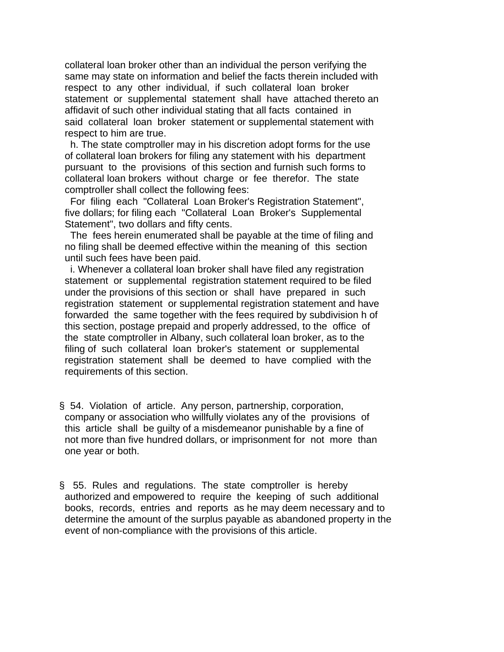collateral loan broker other than an individual the person verifying the same may state on information and belief the facts therein included with respect to any other individual, if such collateral loan broker statement or supplemental statement shall have attached thereto an affidavit of such other individual stating that all facts contained in said collateral loan broker statement or supplemental statement with respect to him are true.

 h. The state comptroller may in his discretion adopt forms for the use of collateral loan brokers for filing any statement with his department pursuant to the provisions of this section and furnish such forms to collateral loan brokers without charge or fee therefor. The state comptroller shall collect the following fees:

 For filing each "Collateral Loan Broker's Registration Statement", five dollars; for filing each "Collateral Loan Broker's Supplemental Statement", two dollars and fifty cents.

 The fees herein enumerated shall be payable at the time of filing and no filing shall be deemed effective within the meaning of this section until such fees have been paid.

 i. Whenever a collateral loan broker shall have filed any registration statement or supplemental registration statement required to be filed under the provisions of this section or shall have prepared in such registration statement or supplemental registration statement and have forwarded the same together with the fees required by subdivision h of this section, postage prepaid and properly addressed, to the office of the state comptroller in Albany, such collateral loan broker, as to the filing of such collateral loan broker's statement or supplemental registration statement shall be deemed to have complied with the requirements of this section.

- § 54. Violation of article. Any person, partnership, corporation, company or association who willfully violates any of the provisions of this article shall be guilty of a misdemeanor punishable by a fine of not more than five hundred dollars, or imprisonment for not more than one year or both.
- § 55. Rules and regulations. The state comptroller is hereby authorized and empowered to require the keeping of such additional books, records, entries and reports as he may deem necessary and to determine the amount of the surplus payable as abandoned property in the event of non-compliance with the provisions of this article.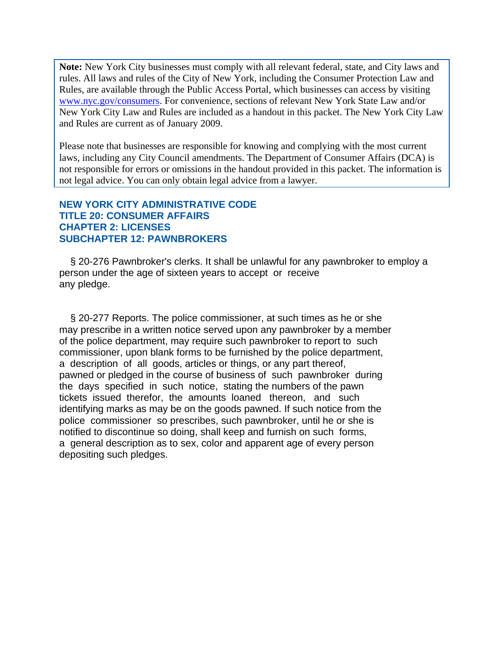**Note:** New York City businesses must comply with all relevant federal, state, and City laws and rules. All laws and rules of the City of New York, including the Consumer Protection Law and Rules, are available through the Public Access Portal, which businesses can access by visiting www.nyc.gov/consumers. For convenience, sections of relevant New York State Law and/or New York City Law and Rules are included as a handout in this packet. The New York City Law and Rules are current as of January 2009.

Please note that businesses are responsible for knowing and complying with the most current laws, including any City Council amendments. The Department of Consumer Affairs (DCA) is not responsible for errors or omissions in the handout provided in this packet. The information is not legal advice. You can only obtain legal advice from a lawyer.

# **NEW YORK CITY ADMINISTRATIVE CODE TITLE 20: CONSUMER AFFAIRS CHAPTER 2: LICENSES SUBCHAPTER 12: PAWNBROKERS**

 § 20-276 Pawnbroker's clerks. It shall be unlawful for any pawnbroker to employ a person under the age of sixteen years to accept or receive any pledge.

 § 20-277 Reports. The police commissioner, at such times as he or she may prescribe in a written notice served upon any pawnbroker by a member of the police department, may require such pawnbroker to report to such commissioner, upon blank forms to be furnished by the police department, a description of all goods, articles or things, or any part thereof, pawned or pledged in the course of business of such pawnbroker during the days specified in such notice, stating the numbers of the pawn tickets issued therefor, the amounts loaned thereon, and such identifying marks as may be on the goods pawned. If such notice from the police commissioner so prescribes, such pawnbroker, until he or she is notified to discontinue so doing, shall keep and furnish on such forms, a general description as to sex, color and apparent age of every person depositing such pledges.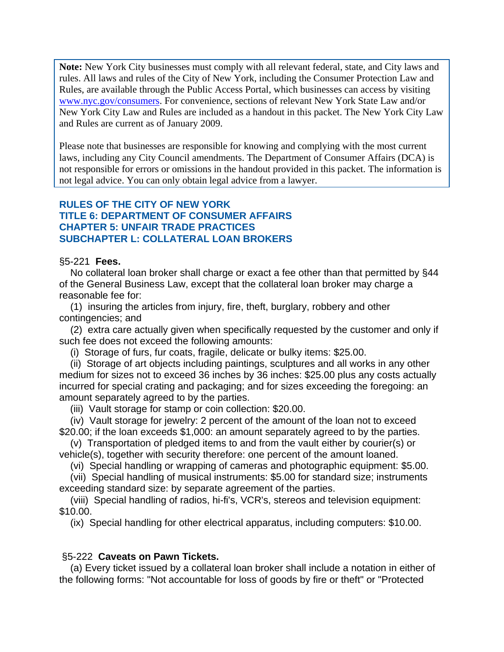**Note:** New York City businesses must comply with all relevant federal, state, and City laws and rules. All laws and rules of the City of New York, including the Consumer Protection Law and Rules, are available through the Public Access Portal, which businesses can access by visiting www.nyc.gov/consumers. For convenience, sections of relevant New York State Law and/or New York City Law and Rules are included as a handout in this packet. The New York City Law and Rules are current as of January 2009.

Please note that businesses are responsible for knowing and complying with the most current laws, including any City Council amendments. The Department of Consumer Affairs (DCA) is not responsible for errors or omissions in the handout provided in this packet. The information is not legal advice. You can only obtain legal advice from a lawyer.

# **RULES OF THE CITY OF NEW YORK TITLE 6: DEPARTMENT OF CONSUMER AFFAIRS CHAPTER 5: UNFAIR TRADE PRACTICES SUBCHAPTER L: COLLATERAL LOAN BROKERS**

### §5-221 **Fees.**

 No collateral loan broker shall charge or exact a fee other than that permitted by §44 of the General Business Law, except that the collateral loan broker may charge a reasonable fee for:

 (1) insuring the articles from injury, fire, theft, burglary, robbery and other contingencies; and

 (2) extra care actually given when specifically requested by the customer and only if such fee does not exceed the following amounts:

(i) Storage of furs, fur coats, fragile, delicate or bulky items: \$25.00.

 (ii) Storage of art objects including paintings, sculptures and all works in any other medium for sizes not to exceed 36 inches by 36 inches: \$25.00 plus any costs actually incurred for special crating and packaging; and for sizes exceeding the foregoing: an amount separately agreed to by the parties.

(iii) Vault storage for stamp or coin collection: \$20.00.

 (iv) Vault storage for jewelry: 2 percent of the amount of the loan not to exceed \$20.00; if the loan exceeds \$1,000: an amount separately agreed to by the parties.

 (v) Transportation of pledged items to and from the vault either by courier(s) or vehicle(s), together with security therefore: one percent of the amount loaned.

(vi) Special handling or wrapping of cameras and photographic equipment: \$5.00.

 (vii) Special handling of musical instruments: \$5.00 for standard size; instruments exceeding standard size: by separate agreement of the parties.

 (viii) Special handling of radios, hi-fi's, VCR's, stereos and television equipment: \$10.00.

(ix) Special handling for other electrical apparatus, including computers: \$10.00.

# §5-222 **Caveats on Pawn Tickets.**

 (a) Every ticket issued by a collateral loan broker shall include a notation in either of the following forms: "Not accountable for loss of goods by fire or theft" or "Protected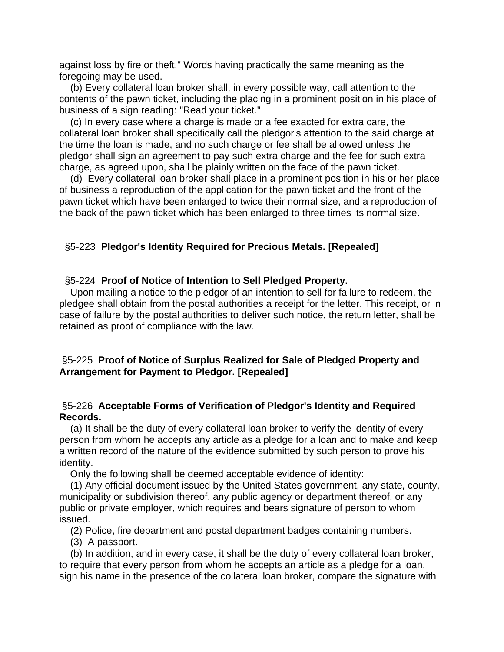against loss by fire or theft." Words having practically the same meaning as the foregoing may be used.

 (b) Every collateral loan broker shall, in every possible way, call attention to the contents of the pawn ticket, including the placing in a prominent position in his place of business of a sign reading: "Read your ticket."

 (c) In every case where a charge is made or a fee exacted for extra care, the collateral loan broker shall specifically call the pledgor's attention to the said charge at the time the loan is made, and no such charge or fee shall be allowed unless the pledgor shall sign an agreement to pay such extra charge and the fee for such extra charge, as agreed upon, shall be plainly written on the face of the pawn ticket.

 (d) Every collateral loan broker shall place in a prominent position in his or her place of business a reproduction of the application for the pawn ticket and the front of the pawn ticket which have been enlarged to twice their normal size, and a reproduction of the back of the pawn ticket which has been enlarged to three times its normal size.

# §5-223 **Pledgor's Identity Required for Precious Metals. [Repealed]**

## §5-224 **Proof of Notice of Intention to Sell Pledged Property.**

 Upon mailing a notice to the pledgor of an intention to sell for failure to redeem, the pledgee shall obtain from the postal authorities a receipt for the letter. This receipt, or in case of failure by the postal authorities to deliver such notice, the return letter, shall be retained as proof of compliance with the law.

# §5-225 **Proof of Notice of Surplus Realized for Sale of Pledged Property and Arrangement for Payment to Pledgor. [Repealed]**

## §5-226 **Acceptable Forms of Verification of Pledgor's Identity and Required Records.**

 (a) It shall be the duty of every collateral loan broker to verify the identity of every person from whom he accepts any article as a pledge for a loan and to make and keep a written record of the nature of the evidence submitted by such person to prove his identity.

Only the following shall be deemed acceptable evidence of identity:

 (1) Any official document issued by the United States government, any state, county, municipality or subdivision thereof, any public agency or department thereof, or any public or private employer, which requires and bears signature of person to whom issued.

(2) Police, fire department and postal department badges containing numbers.

(3) A passport.

 (b) In addition, and in every case, it shall be the duty of every collateral loan broker, to require that every person from whom he accepts an article as a pledge for a loan, sign his name in the presence of the collateral loan broker, compare the signature with